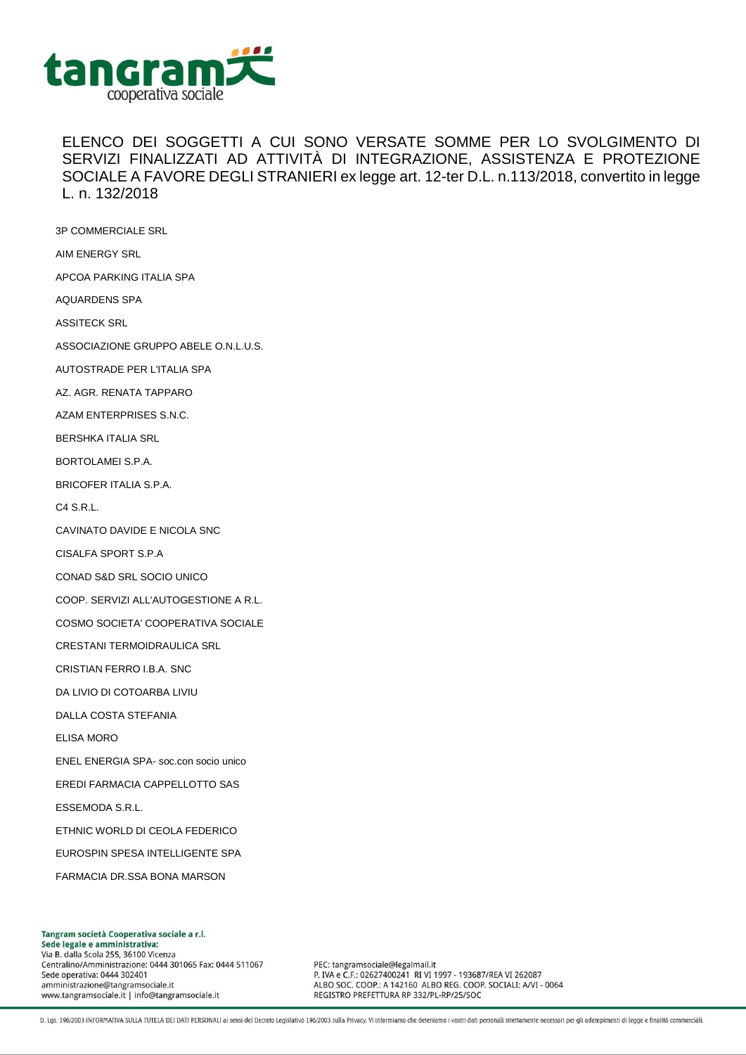

## ELENCO DEI SOGGETTI A CUI SONO VERSATE SOMME PER LO SVOLGIMENTO DI SERVIZI FINALIZZATI AD ATTIVITÀ DI INTEGRAZIONE, ASSISTENZA E PROTEZIONE SOCIALE A FAVORE DEGLI STRANIERI ex legge art. 12-ter D.L. n.113/2018, convertito in legge L. n. 132/2018

3P COMMERCIALE SRL AIM ENERGY SRL APCOA PARKING ITALIA SPA AQUARDENS SPA ASSITECK SRL ASSOCIAZIONE GRUPPO ABELE O.N.L.U.S. AUTOSTRADE PER L'ITALIA SPA AZ. AGR. RENATA TAPPARO AZAM ENTERPRISES S.N.C. BERSHKA ITALIA SRL BORTOLAMEI S.P.A. BRICOFER ITALIA S.P.A. C4 S.R.L. CAVINATO DAVIDE E NICOLA SNC CISALFA SPORT S.P.A CONAD S&D SRL SOCIO UNICO COOP. SERVIZI ALL'AUTOGESTIONE A R.L. COSMO SOCIETA' COOPERATIVA SOCIALE CRESTANI TERMOIDRAULICA SRL CRISTIAN FERRO I.B.A. SNC DA LIVIO DI COTOARBA LIVIU DALLA COSTA STEFANIA ELISA MORO ENEL ENERGIA SPA- soc.con socio unico EREDI FARMACIA CAPPELLOTTO SAS ESSEMODA S.R.L. ETHNIC WORLD DI CEOLA FEDERICO EUROSPIN SPESA INTELLIGENTE SPA FARMACIA DR.SSA BONA MARSON

Tangram società Cooperativa sociale a r.l. Sede legale e amministrativa: Via B. dalla Scola 255, 36100 Vicenza Centralino/Amministrazione: 0444 301065 Fax: 0444 511067 Sede operativa: 0444 302401 amministrazione@tangramsociale.it www.tangramsociale.it | info@tangramsociale.it

PEC: tangramsociale@legalmail.it P. IVA e C.F.: 02627400241 RI VI 1997 - 193687/REA VI 262087 ALBO SOC. COOP .: A 142160 ALBO REG. COOP. SOCIALI: A/VI - 0064 REGISTRO PREFETTURA RP 332/PL-RP/25/SOC

D. Lgs. 196/2003 INFORMATIVA SULLA TUTELA DEI DATI PERSONALI ai sensi del Decreto Legislativo 196/2003 sulla Privacy. Vi informiamo che deteniamo i vostri dati personali strettamente necessari per gli adempimenti di legge